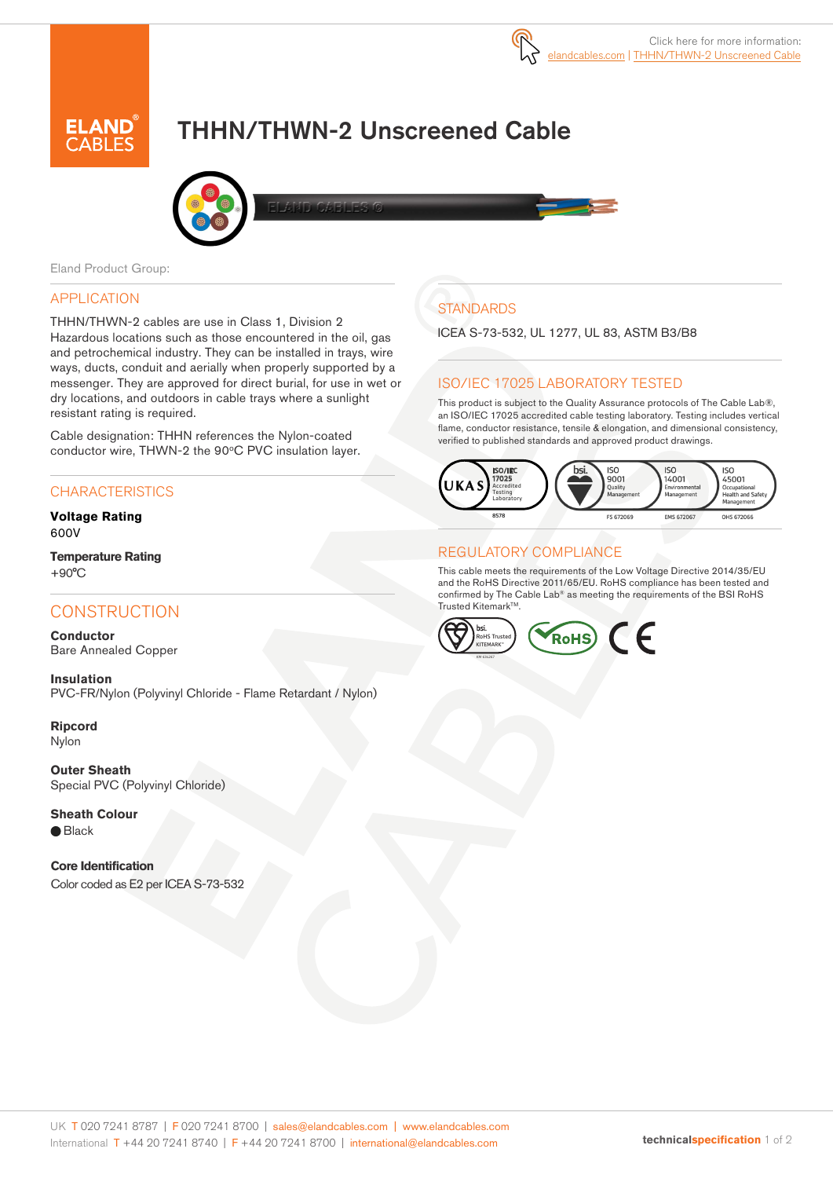

# THHN/THWN-2 Unscreened Cable



Eland Product Group:

### APPLICATION

THHN/THWN-2 cables are use in Class 1, Division 2 Hazardous locations such as those encountered in the oil, gas and petrochemical industry. They can be installed in trays, wire ways, ducts, conduit and aerially when properly supported by a messenger. They are approved for direct burial, for use in wet or dry locations, and outdoors in cable trays where a sunlight resistant rating is required.

Cable designation: THHN references the Nylon-coated conductor wire, THWN-2 the 90°C PVC insulation layer.

### **CHARACTERISTICS**

**Voltage Rating** 600V

**Temperature Rating**  $+90^{\circ}$ C

### **CONSTRUCTION**

**Conductor** Bare Annealed Copper

**Insulation** PVC-FR/Nylon (Polyvinyl Chloride - Flame Retardant / Nylon)

**Ripcord** Nylon

**Outer Sheath** Special PVC (Polyvinyl Chloride)

**Sheath Colour**  $\bigcirc$  Black

**Core Identification** Color coded as E2 per ICEA S-73-532

# **STANDARDS**

ICEA S-73-532, UL 1277, UL 83, ASTM B3/B8

### ISO/IEC 17025 LABORATORY TESTED

This product is subject to the Quality Assurance protocols of The Cable Lab®, an ISO/IEC 17025 accredited cable testing laboratory. Testing includes vertical flame, conductor resistance, tensile & elongation, and dimensional consistency, verified to published standards and approved product drawings.



#### REGULATORY COMPLIANCE

This cable meets the requirements of the Low Voltage Directive 2014/35/EU and the RoHS Directive 2011/65/EU. RoHS compliance has been tested and confirmed by The Cable Lab® as meeting the requirements of the BSI RoHS Trusted Kitemark™.

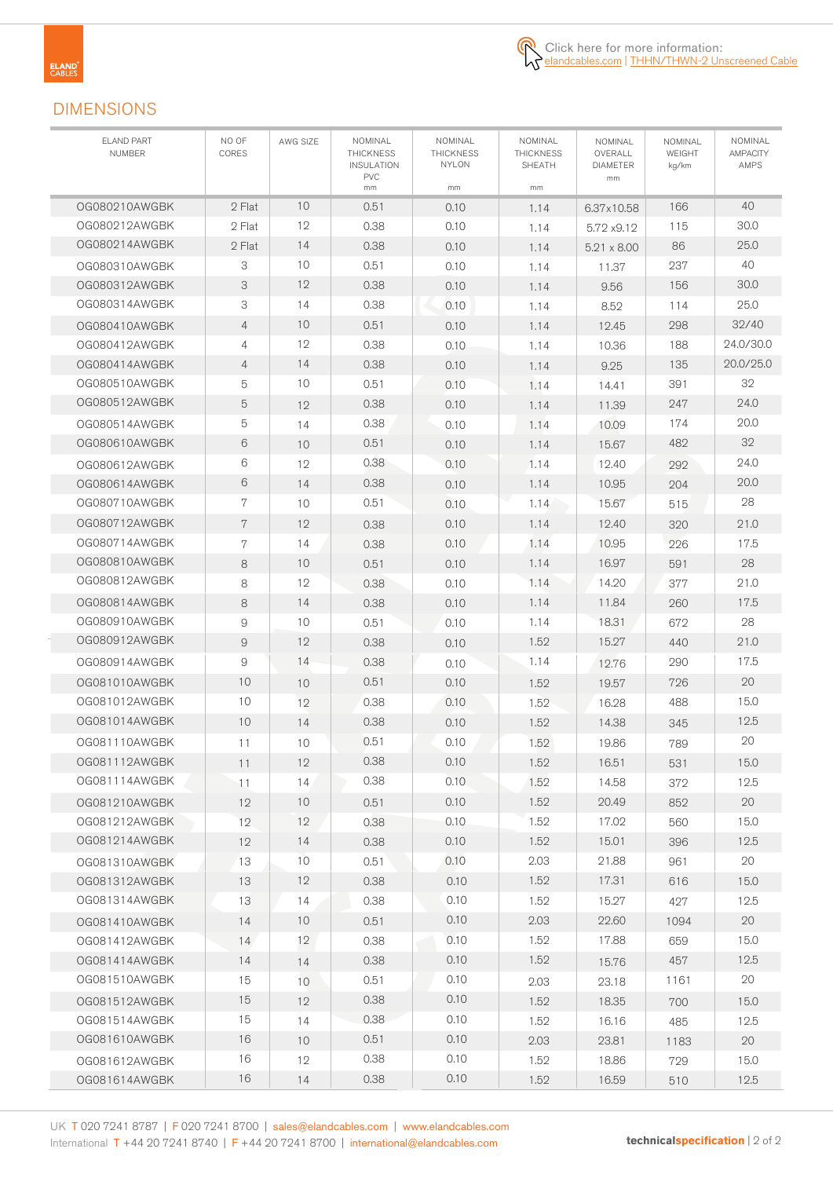

## DIMENSIONS

| <b>ELAND PART</b><br><b>NUMBER</b> | NO OF<br>CORES | AWG SIZE | NOMINAL<br><b>THICKNESS</b><br><b>INSULATION</b><br><b>PVC</b> | NOMINAL<br><b>THICKNESS</b><br><b>NYLON</b> | NOMINAL<br><b>THICKNESS</b><br>SHEATH | NOMINAL<br>OVERALL<br><b>DIAMETER</b><br>mm | NOMINAL<br>WEIGHT<br>kg/km | NOMINAL<br><b>AMPACITY</b><br>AMPS |
|------------------------------------|----------------|----------|----------------------------------------------------------------|---------------------------------------------|---------------------------------------|---------------------------------------------|----------------------------|------------------------------------|
|                                    |                |          | mm                                                             | mm                                          | mm                                    |                                             |                            |                                    |
| OG080210AWGBK                      | 2 Flat         | 10<br>12 | 0.51                                                           | 0.10                                        | 1.14                                  | 6.37x10.58                                  | 166                        | 40                                 |
| 0G080212AWGBK<br>0G080214AWGBK     | 2 Flat         |          | 0.38                                                           | 0.10                                        | 1.14                                  | 5.72 x9.12                                  | 115                        | 30.0                               |
|                                    | 2 Flat         | 14<br>10 | 0.38                                                           | 0.10                                        | 1.14                                  | $5.21 \times 8.00$                          | 86                         | 25.0<br>40                         |
| 0G080310AWGBK                      | 3              |          | 0.51                                                           | 0.10                                        | 1.14                                  | 11.37                                       | 237                        |                                    |
| 0G080312AWGBK                      | 3              | 12       | 0.38                                                           | 0.10                                        | 1.14                                  | 9.56                                        | 156                        | 30.0                               |
| OG080314AWGBK                      | 3              | 14       | 0.38                                                           | 0.10                                        | 1.14                                  | 8.52                                        | 114                        | 25.0                               |
| OG080410AWGBK                      | $\overline{4}$ | 10       | 0.51                                                           | 0.10                                        | 1.14                                  | 12.45                                       | 298                        | 32/40                              |
| OG080412AWGBK                      | 4              | 12       | 0.38                                                           | 0.10                                        | 1.14                                  | 10.36                                       | 188                        | 24.0/30.0                          |
| 0G080414AWGBK                      | $\overline{4}$ | 14       | 0.38                                                           | 0.10                                        | 1.14                                  | 9.25                                        | 135                        | 20.0/25.0                          |
| 0G080510AWGBK                      | 5              | 10       | 0.51                                                           | 0.10                                        | 1.14                                  | 14.41                                       | 391                        | 32                                 |
| 0G080512AWGBK                      | 5              | 12       | 0.38                                                           | 0.10                                        | 1.14                                  | 11.39                                       | 247                        | 24.0                               |
| 0G080514AWGBK                      | 5              | 14       | 0.38                                                           | 0.10                                        | 1.14                                  | 10.09                                       | 174                        | 20.0                               |
| 0G080610AWGBK                      | 6              | 10       | 0.51                                                           | 0.10                                        | 1.14                                  | 15.67                                       | 482                        | 32                                 |
| OG080612AWGBK                      | 6              | 12       | 0.38                                                           | 0.10                                        | 1.14                                  | 12.40                                       | 292                        | 24.0                               |
| OG080614AWGBK                      | 6              | 14       | 0.38                                                           | 0.10                                        | 1.14                                  | 10.95                                       | 204                        | 20.0                               |
| 0G080710AWGBK                      | 7              | 10       | 0.51                                                           | 0.10                                        | 1.14                                  | 15.67                                       | 515                        | 28                                 |
| 0G080712AWGBK                      | 7              | 12       | 0.38                                                           | 0.10                                        | 1.14                                  | 12.40                                       | 320                        | 21.0                               |
| OG080714AWGBK                      | 7              | 14       | 0.38                                                           | 0.10                                        | 1.14                                  | 10.95                                       | 226                        | 17.5                               |
| 0G080810AWGBK                      | 8              | 10       | 0.51                                                           | 0.10                                        | 1.14                                  | 16.97                                       | 591                        | 28                                 |
| 0G080812AWGBK                      | 8              | 12       | 0.38                                                           | 0.10                                        | 1.14                                  | 14.20                                       | 377                        | 21.0                               |
| 0G080814AWGBK                      | 8              | 14       | 0.38                                                           | 0.10                                        | 1.14                                  | 11.84                                       | 260                        | 17.5                               |
| 0G080910AWGBK                      | 9              | 10       | 0.51                                                           | 0.10                                        | 1.14                                  | 18.31                                       | 672                        | 28                                 |
| 0G080912AWGBK                      | $\overline{9}$ | 12       | 0.38                                                           | 0.10                                        | 1.52                                  | 15.27                                       | 440                        | 21.0                               |
| 0G080914AWGBK                      | 9              | 14       | 0.38                                                           | 0.10                                        | 1.14                                  | 12.76                                       | 290                        | 17.5                               |
| 0G081010AWGBK                      | 10             | 10       | 0.51                                                           | 0.10                                        | 1.52                                  | 19.57                                       | 726                        | 20                                 |
| 0G081012AWGBK                      | 10             | 12       | 0.38                                                           | 0.10                                        | 1.52                                  | 16.28                                       | 488                        | 15.0                               |
| 0G081014AWGBK                      | 10             | 14       | 0.38                                                           | 0.10                                        | 1.52                                  | 14.38                                       | 345                        | 12.5                               |
| 0G081110AWGBK                      | 11             | 10       | 0.51                                                           | 0.10                                        | 1.52                                  | 19.86                                       | 789                        | 20                                 |
| OG081112AWGBK                      | $11$           | 12       | 0.38                                                           | 0.10                                        | 1.52                                  | 16.51                                       | 531                        | $15.0$                             |
| OG081114AWGBK                      | 11             | 14       | 0.38                                                           | 0.10                                        | 1.52                                  | 14.58                                       | 372                        | 12.5                               |
| 0G081210AWGBK                      | 12             | 10       | 0.51                                                           | 0.10                                        | 1.52                                  | 20.49                                       | 852                        | 20                                 |
| 0G081212AWGBK                      | 12             | 12       | 0.38                                                           | 0.10                                        | 1.52                                  | 17.02                                       | 560                        | 15.0                               |
| 0G081214AWGBK                      | 12             | 14       | 0.38                                                           | 0.10                                        | 1.52                                  | 15.01                                       | 396                        | 12.5                               |
| OG081310AWGBK                      | 13             | 10       | 0.51                                                           | 0.10                                        | 2.03                                  | 21.88                                       | 961                        | 20                                 |
| OG081312AWGBK                      | 13             | 12       | 0.38                                                           | 0.10                                        | 1.52                                  | 17.31                                       | 616                        | 15.0                               |
| OG081314AWGBK                      | 13             | 14       | 0.38                                                           | 0.10                                        | 1.52                                  | 15.27                                       | 427                        | 12.5                               |
| OG081410AWGBK                      | 14             | 10       | 0.51                                                           | 0.10                                        | 2.03                                  | 22.60                                       | 1094                       | 20                                 |
| OG081412AWGBK                      | 14             | 12       | 0.38                                                           | 0.10                                        | 1.52                                  | 17.88                                       | 659                        | 15.0                               |
| OG081414AWGBK                      | 14             |          | 0.38                                                           | 0.10                                        | 1.52                                  |                                             | 457                        | 12.5                               |
| OG081510AWGBK                      | 15             | 14       | 0.51                                                           | 0.10                                        | 2.03                                  | 15.76                                       | 1161                       | 20                                 |
|                                    | 15             | 10       | 0.38                                                           | 0.10                                        |                                       | 23.18                                       |                            |                                    |
| OG081512AWGBK                      | 15             | 12       | 0.38                                                           | 0.10                                        | 1.52                                  | 18.35                                       | 700                        | 15.0                               |
| OG081514AWGBK                      |                | 14       |                                                                |                                             | 1.52                                  | 16.16                                       | 485                        | 12.5                               |
| OG081610AWGBK                      | 16             | 10       | 0.51                                                           | 0.10                                        | 2.03                                  | 23.81                                       | 1183                       | 20                                 |
| OG081612AWGBK                      | 16             | 12       | 0.38                                                           | 0.10                                        | 1.52                                  | 18.86                                       | 729                        | 15.0                               |
| OG081614AWGBK                      | 16             | 14       | 0.38                                                           | 0.10                                        | 1.52                                  | 16.59                                       | 510                        | 12.5                               |